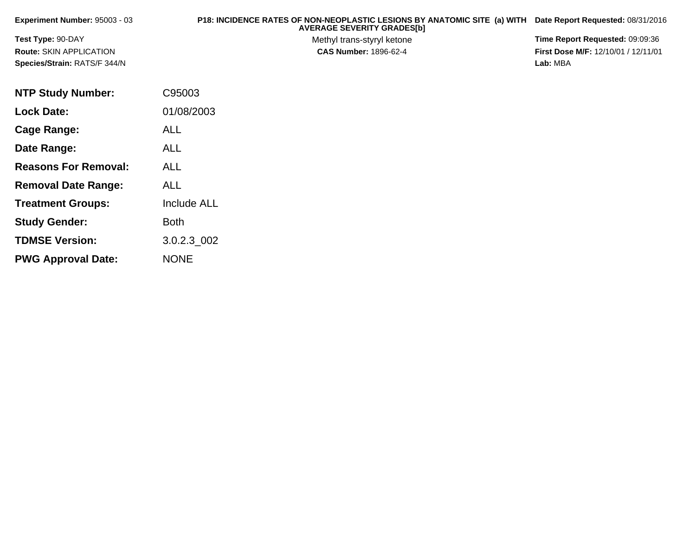| <b>Experiment Number: 95003 - 03</b> | P18: INCIDENCE RATES OF NON-NEOPLASTIC LESIONS BY ANATOMIC SITE (a) WITH<br><b>AVERAGE SEVERITY GRADES[b]</b> | Date Report Requested: 08/31/2016          |
|--------------------------------------|---------------------------------------------------------------------------------------------------------------|--------------------------------------------|
| <b>Test Type: 90-DAY</b>             | Methyl trans-styryl ketone                                                                                    | <b>Time Report Requested: 09:09:36</b>     |
| <b>Route: SKIN APPLICATION</b>       | <b>CAS Number: 1896-62-4</b>                                                                                  | <b>First Dose M/F: 12/10/01 / 12/11/01</b> |
| Species/Strain: RATS/F 344/N         |                                                                                                               | Lab: MBA                                   |
|                                      |                                                                                                               |                                            |

| <b>NTP Study Number:</b>    | C95003             |
|-----------------------------|--------------------|
| <b>Lock Date:</b>           | 01/08/2003         |
| Cage Range:                 | <b>ALL</b>         |
| Date Range:                 | <b>ALL</b>         |
| <b>Reasons For Removal:</b> | ALL                |
| <b>Removal Date Range:</b>  | ALL                |
| <b>Treatment Groups:</b>    | <b>Include ALL</b> |
| <b>Study Gender:</b>        | Both               |
| <b>TDMSE Version:</b>       | 3.0.2.3 002        |
| <b>PWG Approval Date:</b>   | <b>NONE</b>        |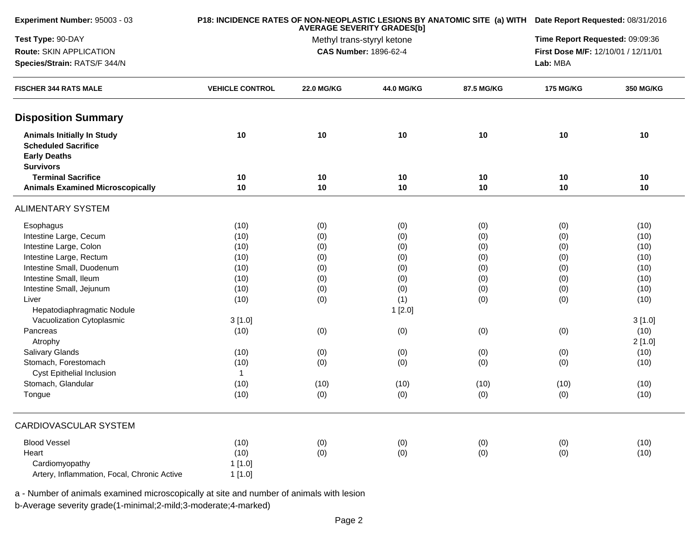| Experiment Number: 95003 - 03                                                                              |                        |                                 | P18: INCIDENCE RATES OF NON-NEOPLASTIC LESIONS BY ANATOMIC SITE (a) WITH Date Report Requested: 08/31/2016 |            |                                     |           |
|------------------------------------------------------------------------------------------------------------|------------------------|---------------------------------|------------------------------------------------------------------------------------------------------------|------------|-------------------------------------|-----------|
| Test Type: 90-DAY                                                                                          |                        | Time Report Requested: 09:09:36 |                                                                                                            |            |                                     |           |
| Route: SKIN APPLICATION                                                                                    |                        |                                 | Methyl trans-styryl ketone<br>CAS Number: 1896-62-4                                                        |            | First Dose M/F: 12/10/01 / 12/11/01 |           |
| Species/Strain: RATS/F 344/N                                                                               |                        |                                 |                                                                                                            |            | Lab: MBA                            |           |
| <b>FISCHER 344 RATS MALE</b>                                                                               | <b>VEHICLE CONTROL</b> | <b>22.0 MG/KG</b>               | 44.0 MG/KG                                                                                                 | 87.5 MG/KG | <b>175 MG/KG</b>                    | 350 MG/KG |
| <b>Disposition Summary</b>                                                                                 |                        |                                 |                                                                                                            |            |                                     |           |
| <b>Animals Initially In Study</b><br><b>Scheduled Sacrifice</b><br><b>Early Deaths</b><br><b>Survivors</b> | 10                     | 10                              | 10                                                                                                         | 10         | 10                                  | 10        |
| <b>Terminal Sacrifice</b>                                                                                  | 10                     | 10                              | 10                                                                                                         | 10         | 10                                  | 10        |
| <b>Animals Examined Microscopically</b>                                                                    | 10                     | 10                              | 10                                                                                                         | 10         | 10                                  | 10        |
| <b>ALIMENTARY SYSTEM</b>                                                                                   |                        |                                 |                                                                                                            |            |                                     |           |
| Esophagus                                                                                                  | (10)                   | (0)                             | (0)                                                                                                        | (0)        | (0)                                 | (10)      |
| Intestine Large, Cecum                                                                                     | (10)                   | (0)                             | (0)                                                                                                        | (0)        | (0)                                 | (10)      |
| Intestine Large, Colon                                                                                     | (10)                   | (0)                             | (0)                                                                                                        | (0)        | (0)                                 | (10)      |
| Intestine Large, Rectum                                                                                    | (10)                   | (0)                             | (0)                                                                                                        | (0)        | (0)                                 | (10)      |
| Intestine Small, Duodenum                                                                                  | (10)                   | (0)                             | (0)                                                                                                        | (0)        | (0)                                 | (10)      |
| Intestine Small, Ileum                                                                                     | (10)                   | (0)                             | (0)                                                                                                        | (0)        | (0)                                 | (10)      |
| Intestine Small, Jejunum                                                                                   | (10)                   | (0)                             | (0)                                                                                                        | (0)        | (0)                                 | (10)      |
| Liver                                                                                                      | (10)                   | (0)                             | (1)                                                                                                        | (0)        | (0)                                 | (10)      |
| Hepatodiaphragmatic Nodule                                                                                 |                        |                                 | 1[2.0]                                                                                                     |            |                                     |           |
| Vacuolization Cytoplasmic                                                                                  | 3[1.0]                 |                                 |                                                                                                            |            |                                     | 3[1.0]    |
| Pancreas                                                                                                   | (10)                   | (0)                             | (0)                                                                                                        | (0)        | (0)                                 | (10)      |
| Atrophy                                                                                                    |                        |                                 |                                                                                                            |            |                                     | 2[1.0]    |
| Salivary Glands                                                                                            | (10)                   | (0)                             | (0)                                                                                                        | (0)        | (0)                                 | (10)      |
| Stomach, Forestomach                                                                                       | (10)                   | (0)                             | (0)                                                                                                        | (0)        | (0)                                 | (10)      |
| <b>Cyst Epithelial Inclusion</b>                                                                           | $\mathbf{1}$           |                                 |                                                                                                            |            |                                     |           |
| Stomach, Glandular                                                                                         | (10)                   | (10)                            | (10)                                                                                                       | (10)       | (10)                                | (10)      |
| Tongue                                                                                                     | (10)                   | (0)                             | (0)                                                                                                        | (0)        | (0)                                 | (10)      |
| CARDIOVASCULAR SYSTEM                                                                                      |                        |                                 |                                                                                                            |            |                                     |           |
| <b>Blood Vessel</b>                                                                                        | (10)                   | (0)                             | (0)                                                                                                        | (0)        | (0)                                 | (10)      |
| Heart                                                                                                      | (10)                   | (0)                             | (0)                                                                                                        | (0)        | (0)                                 | (10)      |
| Cardiomyopathy                                                                                             | 1[1.0]                 |                                 |                                                                                                            |            |                                     |           |
| Artery, Inflammation, Focal, Chronic Active                                                                | 1[1.0]                 |                                 |                                                                                                            |            |                                     |           |
|                                                                                                            |                        |                                 |                                                                                                            |            |                                     |           |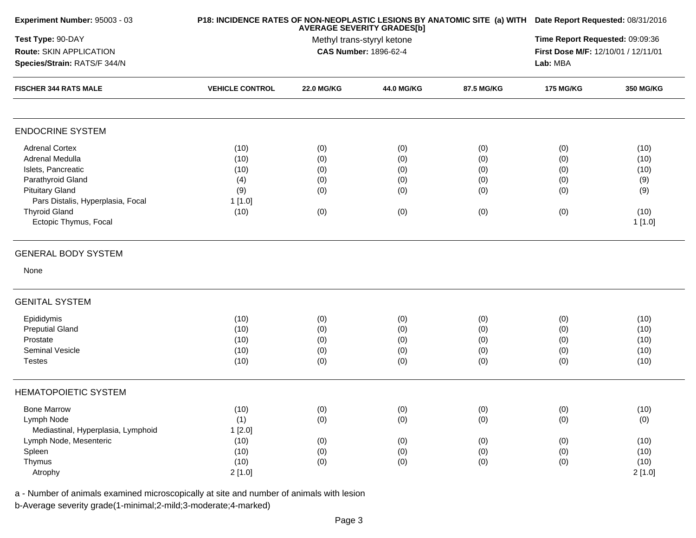| Experiment Number: 95003 - 03      |                        | P18: INCIDENCE RATES OF NON-NEOPLASTIC LESIONS BY ANATOMIC SITE (a) WITH Date Report Requested: 08/31/2016<br><b>AVERAGE SEVERITY GRADES[b]</b> |                       |            |                                     |           |  |
|------------------------------------|------------------------|-------------------------------------------------------------------------------------------------------------------------------------------------|-----------------------|------------|-------------------------------------|-----------|--|
| Test Type: 90-DAY                  |                        | Methyl trans-styryl ketone                                                                                                                      |                       |            |                                     |           |  |
| Route: SKIN APPLICATION            |                        |                                                                                                                                                 | CAS Number: 1896-62-4 |            | First Dose M/F: 12/10/01 / 12/11/01 |           |  |
| Species/Strain: RATS/F 344/N       |                        |                                                                                                                                                 |                       |            |                                     |           |  |
| <b>FISCHER 344 RATS MALE</b>       | <b>VEHICLE CONTROL</b> | <b>22.0 MG/KG</b>                                                                                                                               | 44.0 MG/KG            | 87.5 MG/KG | <b>175 MG/KG</b>                    | 350 MG/KG |  |
| <b>ENDOCRINE SYSTEM</b>            |                        |                                                                                                                                                 |                       |            |                                     |           |  |
| <b>Adrenal Cortex</b>              | (10)                   | (0)                                                                                                                                             | (0)                   | (0)        | (0)                                 | (10)      |  |
| Adrenal Medulla                    | (10)                   | (0)                                                                                                                                             | (0)                   | (0)        | (0)                                 | (10)      |  |
| Islets, Pancreatic                 | (10)                   | (0)                                                                                                                                             | (0)                   | (0)        | (0)                                 | (10)      |  |
| Parathyroid Gland                  | (4)                    | (0)                                                                                                                                             | (0)                   | (0)        | (0)                                 | (9)       |  |
| <b>Pituitary Gland</b>             | (9)                    | (0)                                                                                                                                             | (0)                   | (0)        | (0)                                 | (9)       |  |
| Pars Distalis, Hyperplasia, Focal  | 1[1.0]                 |                                                                                                                                                 |                       |            |                                     |           |  |
| <b>Thyroid Gland</b>               | (10)                   | (0)                                                                                                                                             | (0)                   | (0)        | (0)                                 | (10)      |  |
| Ectopic Thymus, Focal              |                        |                                                                                                                                                 |                       |            |                                     | 1[1.0]    |  |
| <b>GENERAL BODY SYSTEM</b>         |                        |                                                                                                                                                 |                       |            |                                     |           |  |
| None                               |                        |                                                                                                                                                 |                       |            |                                     |           |  |
| <b>GENITAL SYSTEM</b>              |                        |                                                                                                                                                 |                       |            |                                     |           |  |
| Epididymis                         | (10)                   | (0)                                                                                                                                             | (0)                   | (0)        | (0)                                 | (10)      |  |
| <b>Preputial Gland</b>             | (10)                   | (0)                                                                                                                                             | (0)                   | (0)        | (0)                                 | (10)      |  |
| Prostate                           | (10)                   | (0)                                                                                                                                             | (0)                   | (0)        | (0)                                 | (10)      |  |
| Seminal Vesicle                    | (10)                   | (0)                                                                                                                                             | (0)                   | (0)        | (0)                                 | (10)      |  |
| <b>Testes</b>                      | (10)                   | (0)                                                                                                                                             | (0)                   | (0)        | (0)                                 | (10)      |  |
| <b>HEMATOPOIETIC SYSTEM</b>        |                        |                                                                                                                                                 |                       |            |                                     |           |  |
| <b>Bone Marrow</b>                 | (10)                   | (0)                                                                                                                                             | (0)                   | (0)        | (0)                                 | (10)      |  |
| Lymph Node                         | (1)                    | (0)                                                                                                                                             | (0)                   | (0)        | (0)                                 | (0)       |  |
| Mediastinal, Hyperplasia, Lymphoid | 1[2.0]                 |                                                                                                                                                 |                       |            |                                     |           |  |
| Lymph Node, Mesenteric             | (10)                   | (0)                                                                                                                                             | (0)                   | (0)        | (0)                                 | (10)      |  |
| Spleen                             | (10)                   | (0)                                                                                                                                             | (0)                   | (0)        | (0)                                 | (10)      |  |
| Thymus                             | (10)                   | (0)                                                                                                                                             | (0)                   | (0)        | (0)                                 | (10)      |  |
| Atrophy                            | 2[1.0]                 |                                                                                                                                                 |                       |            |                                     | 2[1.0]    |  |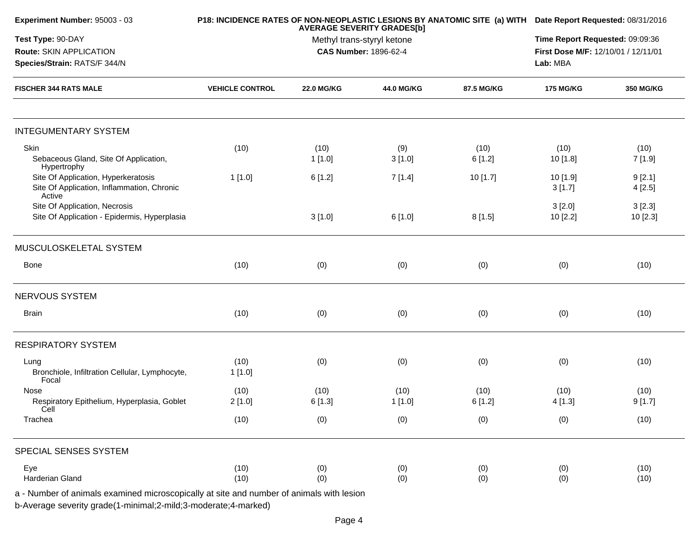| Experiment Number: 95003 - 03                                                               |                        | P18: INCIDENCE RATES OF NON-NEOPLASTIC LESIONS BY ANATOMIC SITE (a) WITH Date Report Requested: 08/31/2016 |                              |                |                                                 |                   |
|---------------------------------------------------------------------------------------------|------------------------|------------------------------------------------------------------------------------------------------------|------------------------------|----------------|-------------------------------------------------|-------------------|
| Test Type: 90-DAY                                                                           |                        | Time Report Requested: 09:09:36                                                                            |                              |                |                                                 |                   |
| Route: SKIN APPLICATION<br>Species/Strain: RATS/F 344/N                                     |                        |                                                                                                            | <b>CAS Number: 1896-62-4</b> |                | First Dose M/F: 12/10/01 / 12/11/01<br>Lab: MBA |                   |
| <b>FISCHER 344 RATS MALE</b>                                                                | <b>VEHICLE CONTROL</b> | <b>22.0 MG/KG</b>                                                                                          | 44.0 MG/KG                   | 87.5 MG/KG     | <b>175 MG/KG</b>                                | <b>350 MG/KG</b>  |
| <b>INTEGUMENTARY SYSTEM</b>                                                                 |                        |                                                                                                            |                              |                |                                                 |                   |
| Skin<br>Sebaceous Gland, Site Of Application,<br>Hypertrophy                                | (10)                   | (10)<br>1[1.0]                                                                                             | (9)<br>3[1.0]                | (10)<br>6[1.2] | (10)<br>10 [1.8]                                | (10)<br>7 [1.9]   |
| Site Of Application, Hyperkeratosis<br>Site Of Application, Inflammation, Chronic<br>Active | 1[1.0]                 | 6[1.2]                                                                                                     | 7[1.4]                       | 10 [1.7]       | 10 [1.9]<br>3[1.7]                              | 9[2.1]<br>4[2.5]  |
| Site Of Application, Necrosis<br>Site Of Application - Epidermis, Hyperplasia               |                        | 3[1.0]                                                                                                     | 6[1.0]                       | 8[1.5]         | 3[2.0]<br>10[2.2]                               | 3[2.3]<br>10[2.3] |
| MUSCULOSKELETAL SYSTEM                                                                      |                        |                                                                                                            |                              |                |                                                 |                   |
| <b>Bone</b>                                                                                 | (10)                   | (0)                                                                                                        | (0)                          | (0)            | (0)                                             | (10)              |
| NERVOUS SYSTEM                                                                              |                        |                                                                                                            |                              |                |                                                 |                   |
| <b>Brain</b>                                                                                | (10)                   | (0)                                                                                                        | (0)                          | (0)            | (0)                                             | (10)              |
| <b>RESPIRATORY SYSTEM</b>                                                                   |                        |                                                                                                            |                              |                |                                                 |                   |
| Lung<br>Bronchiole, Infiltration Cellular, Lymphocyte,<br>Focal                             | (10)<br>1[1.0]         | (0)                                                                                                        | (0)                          | (0)            | (0)                                             | (10)              |
| Nose<br>Respiratory Epithelium, Hyperplasia, Goblet<br>Cell                                 | (10)<br>2[1.0]         | (10)<br>6 [1.3]                                                                                            | (10)<br>1[1.0]               | (10)<br>6[1.2] | (10)<br>4[1.3]                                  | (10)<br>9[1.7]    |
| Trachea                                                                                     | (10)                   | (0)                                                                                                        | (0)                          | (0)            | (0)                                             | (10)              |
| SPECIAL SENSES SYSTEM                                                                       |                        |                                                                                                            |                              |                |                                                 |                   |
| Eye<br>Harderian Gland                                                                      | (10)<br>(10)           | (0)<br>(0)                                                                                                 | (0)<br>(0)                   | (0)<br>(0)     | (0)<br>(0)                                      | (10)<br>(10)      |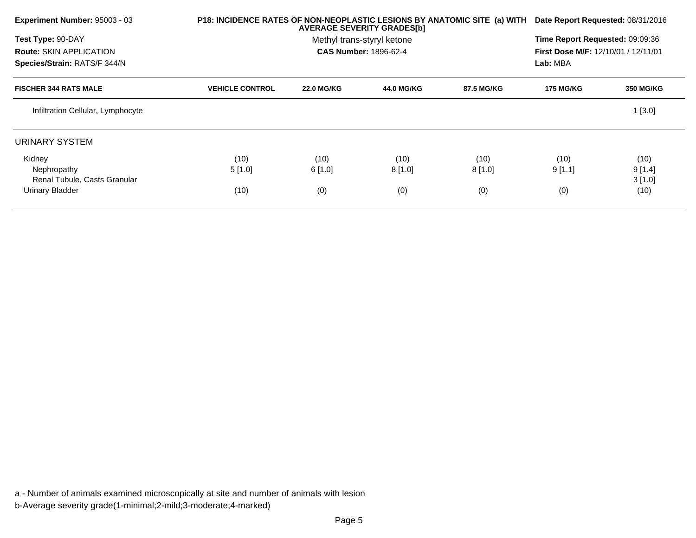| Experiment Number: 95003 - 03     | P18: INCIDENCE RATES OF NON-NEOPLASTIC LESIONS BY ANATOMIC SITE (a) WITH<br><b>AVERAGE SEVERITY GRADES[b]</b> |                   |                              | Date Report Requested: 08/31/2016 |                                            |                  |
|-----------------------------------|---------------------------------------------------------------------------------------------------------------|-------------------|------------------------------|-----------------------------------|--------------------------------------------|------------------|
| Test Type: 90-DAY                 |                                                                                                               |                   | Methyl trans-styryl ketone   |                                   | Time Report Requested: 09:09:36            |                  |
| <b>Route: SKIN APPLICATION</b>    |                                                                                                               |                   | <b>CAS Number: 1896-62-4</b> |                                   | <b>First Dose M/F: 12/10/01 / 12/11/01</b> |                  |
| Species/Strain: RATS/F 344/N      |                                                                                                               |                   |                              |                                   | Lab: MBA                                   |                  |
| <b>FISCHER 344 RATS MALE</b>      | <b>VEHICLE CONTROL</b>                                                                                        | <b>22.0 MG/KG</b> | <b>44.0 MG/KG</b>            | 87.5 MG/KG                        | <b>175 MG/KG</b>                           | <b>350 MG/KG</b> |
| Infiltration Cellular, Lymphocyte |                                                                                                               |                   |                              |                                   |                                            | 1[3.0]           |
| <b>URINARY SYSTEM</b>             |                                                                                                               |                   |                              |                                   |                                            |                  |
| Kidney                            | (10)                                                                                                          | (10)              | (10)                         | (10)                              | (10)                                       | (10)             |
| Nephropathy                       | 5[1.0]                                                                                                        | 6[1.0]            | 8[1.0]                       | 8[1.0]                            | 9[1.1]                                     | 9[1.4]           |
| Renal Tubule, Casts Granular      |                                                                                                               |                   |                              |                                   |                                            | 3[1.0]           |
| Urinary Bladder                   | (10)                                                                                                          | (0)               | (0)                          | (0)                               | (0)                                        | (10)             |

a - Number of animals examined microscopically at site and number of animals with lesionb-Average severity grade(1-minimal;2-mild;3-moderate;4-marked)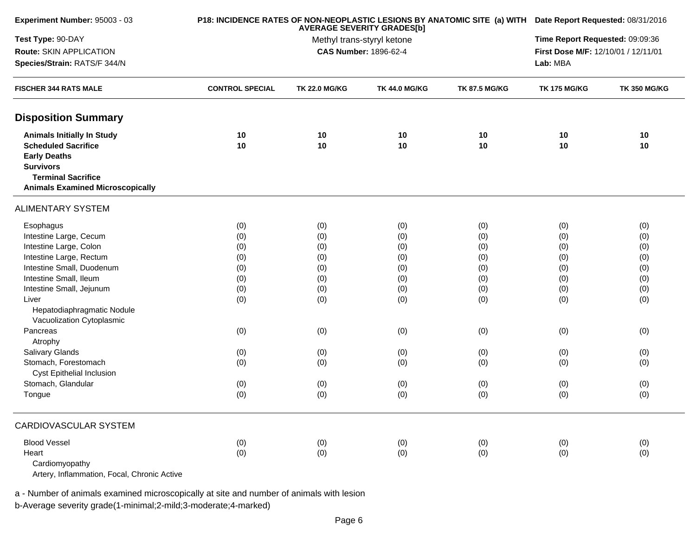| Experiment Number: 95003 - 03                                                                               |                        | P18: INCIDENCE RATES OF NON-NEOPLASTIC LESIONS BY ANATOMIC SITE (a) WITH Date Report Requested: 08/31/2016<br><b>AVERAGE SEVERITY GRADES[b]</b> |                                                            |                      |                                     |                     |  |
|-------------------------------------------------------------------------------------------------------------|------------------------|-------------------------------------------------------------------------------------------------------------------------------------------------|------------------------------------------------------------|----------------------|-------------------------------------|---------------------|--|
| Test Type: 90-DAY                                                                                           |                        | Time Report Requested: 09:09:36                                                                                                                 |                                                            |                      |                                     |                     |  |
| Route: SKIN APPLICATION                                                                                     |                        |                                                                                                                                                 | Methyl trans-styryl ketone<br><b>CAS Number: 1896-62-4</b> |                      | First Dose M/F: 12/10/01 / 12/11/01 |                     |  |
| Species/Strain: RATS/F 344/N<br><b>FISCHER 344 RATS MALE</b>                                                |                        |                                                                                                                                                 |                                                            |                      |                                     |                     |  |
|                                                                                                             | <b>CONTROL SPECIAL</b> | <b>TK 22.0 MG/KG</b>                                                                                                                            | <b>TK 44.0 MG/KG</b>                                       | <b>TK 87.5 MG/KG</b> | <b>TK 175 MG/KG</b>                 | <b>TK 350 MG/KG</b> |  |
| <b>Disposition Summary</b>                                                                                  |                        |                                                                                                                                                 |                                                            |                      |                                     |                     |  |
| <b>Animals Initially In Study</b>                                                                           | 10                     | 10                                                                                                                                              | 10                                                         | $10$                 | 10                                  | 10                  |  |
| <b>Scheduled Sacrifice</b>                                                                                  | 10                     | 10                                                                                                                                              | 10                                                         | 10                   | 10                                  | 10                  |  |
| <b>Early Deaths</b>                                                                                         |                        |                                                                                                                                                 |                                                            |                      |                                     |                     |  |
| <b>Survivors</b>                                                                                            |                        |                                                                                                                                                 |                                                            |                      |                                     |                     |  |
| <b>Terminal Sacrifice</b>                                                                                   |                        |                                                                                                                                                 |                                                            |                      |                                     |                     |  |
| <b>Animals Examined Microscopically</b>                                                                     |                        |                                                                                                                                                 |                                                            |                      |                                     |                     |  |
| <b>ALIMENTARY SYSTEM</b>                                                                                    |                        |                                                                                                                                                 |                                                            |                      |                                     |                     |  |
| Esophagus                                                                                                   | (0)                    | (0)                                                                                                                                             | (0)                                                        | (0)                  | (0)                                 | (0)                 |  |
| Intestine Large, Cecum                                                                                      | (0)                    | (0)                                                                                                                                             | (0)                                                        | (0)                  | (0)                                 | (0)                 |  |
| Intestine Large, Colon                                                                                      | (0)                    | (0)                                                                                                                                             | (0)                                                        | (0)                  | (0)                                 | (0)                 |  |
| Intestine Large, Rectum                                                                                     | (0)                    | (0)                                                                                                                                             | (0)                                                        | (0)                  | (0)                                 | (0)                 |  |
| Intestine Small, Duodenum                                                                                   | (0)                    | (0)                                                                                                                                             | (0)                                                        | (0)                  | (0)                                 | (0)                 |  |
| Intestine Small, Ileum                                                                                      | (0)                    | (0)                                                                                                                                             | (0)                                                        | (0)                  | (0)                                 | (0)                 |  |
| Intestine Small, Jejunum                                                                                    | (0)                    | (0)                                                                                                                                             | (0)                                                        | (0)                  | (0)                                 | (0)                 |  |
| Liver                                                                                                       | (0)                    | (0)                                                                                                                                             | (0)                                                        | (0)                  | (0)                                 | (0)                 |  |
| Hepatodiaphragmatic Nodule                                                                                  |                        |                                                                                                                                                 |                                                            |                      |                                     |                     |  |
| Vacuolization Cytoplasmic                                                                                   |                        |                                                                                                                                                 |                                                            |                      |                                     |                     |  |
| Pancreas                                                                                                    | (0)                    | (0)                                                                                                                                             | (0)                                                        | (0)                  | (0)                                 | (0)                 |  |
| Atrophy                                                                                                     |                        |                                                                                                                                                 |                                                            |                      |                                     |                     |  |
| Salivary Glands                                                                                             | (0)                    | (0)                                                                                                                                             | (0)                                                        | (0)                  | (0)                                 | (0)                 |  |
| Stomach, Forestomach                                                                                        | (0)                    | (0)                                                                                                                                             | (0)                                                        | (0)                  | (0)                                 | (0)                 |  |
| <b>Cyst Epithelial Inclusion</b>                                                                            |                        |                                                                                                                                                 |                                                            |                      |                                     |                     |  |
| Stomach, Glandular                                                                                          | (0)                    | (0)                                                                                                                                             | (0)                                                        | (0)                  | (0)                                 | (0)                 |  |
| Tongue                                                                                                      | (0)                    | (0)                                                                                                                                             | (0)                                                        | (0)                  | (0)                                 | (0)                 |  |
| CARDIOVASCULAR SYSTEM                                                                                       |                        |                                                                                                                                                 |                                                            |                      |                                     |                     |  |
| <b>Blood Vessel</b>                                                                                         | (0)                    | (0)                                                                                                                                             | (0)                                                        | (0)                  | (0)                                 | (0)                 |  |
| Heart                                                                                                       | (0)                    | (0)                                                                                                                                             | (0)                                                        | (0)                  | (0)                                 | (0)                 |  |
| Cardiomyopathy                                                                                              |                        |                                                                                                                                                 |                                                            |                      |                                     |                     |  |
| $\mathcal{L}$ and $\mathcal{L}$ are $\mathcal{L}$ . The set of $\mathcal{L}$ . And $\mathcal{L}$<br>$A = 1$ |                        |                                                                                                                                                 |                                                            |                      |                                     |                     |  |

Artery, Inflammation, Focal, Chronic Active

a - Number of animals examined microscopically at site and number of animals with lesion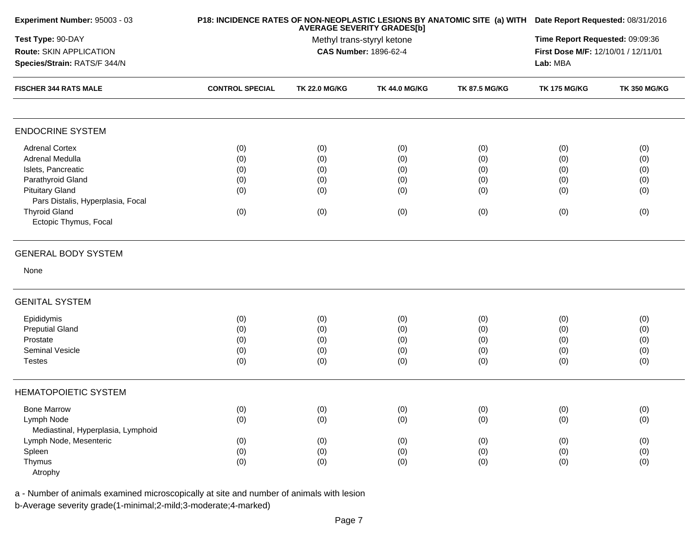| Experiment Number: 95003 - 03      |                        | P18: INCIDENCE RATES OF NON-NEOPLASTIC LESIONS BY ANATOMIC SITE (a) WITH Date Report Requested: 08/31/2016<br><b>AVERAGE SEVERITY GRADES[b]</b> |                      |                                     |                     |                     |  |
|------------------------------------|------------------------|-------------------------------------------------------------------------------------------------------------------------------------------------|----------------------|-------------------------------------|---------------------|---------------------|--|
| Test Type: 90-DAY                  |                        | Methyl trans-styryl ketone                                                                                                                      |                      |                                     |                     |                     |  |
| Route: SKIN APPLICATION            |                        | <b>CAS Number: 1896-62-4</b>                                                                                                                    |                      | First Dose M/F: 12/10/01 / 12/11/01 |                     |                     |  |
| Species/Strain: RATS/F 344/N       |                        |                                                                                                                                                 |                      |                                     |                     |                     |  |
| <b>FISCHER 344 RATS MALE</b>       | <b>CONTROL SPECIAL</b> | <b>TK 22.0 MG/KG</b>                                                                                                                            | <b>TK 44.0 MG/KG</b> | <b>TK 87.5 MG/KG</b>                | <b>TK 175 MG/KG</b> | <b>TK 350 MG/KG</b> |  |
| <b>ENDOCRINE SYSTEM</b>            |                        |                                                                                                                                                 |                      |                                     |                     |                     |  |
| <b>Adrenal Cortex</b>              | (0)                    | (0)                                                                                                                                             | (0)                  | (0)                                 | (0)                 | (0)                 |  |
| Adrenal Medulla                    | (0)                    | (0)                                                                                                                                             | (0)                  | (0)                                 | (0)                 | (0)                 |  |
| Islets, Pancreatic                 | (0)                    | (0)                                                                                                                                             | (0)                  | (0)                                 | (0)                 | (0)                 |  |
| Parathyroid Gland                  | (0)                    | (0)                                                                                                                                             | (0)                  | (0)                                 | (0)                 | (0)                 |  |
| <b>Pituitary Gland</b>             | (0)                    | (0)                                                                                                                                             | (0)                  | (0)                                 | (0)                 | (0)                 |  |
| Pars Distalis, Hyperplasia, Focal  |                        |                                                                                                                                                 |                      |                                     |                     |                     |  |
| <b>Thyroid Gland</b>               | (0)                    | (0)                                                                                                                                             | (0)                  | (0)                                 | (0)                 | (0)                 |  |
| Ectopic Thymus, Focal              |                        |                                                                                                                                                 |                      |                                     |                     |                     |  |
| <b>GENERAL BODY SYSTEM</b>         |                        |                                                                                                                                                 |                      |                                     |                     |                     |  |
| None                               |                        |                                                                                                                                                 |                      |                                     |                     |                     |  |
| <b>GENITAL SYSTEM</b>              |                        |                                                                                                                                                 |                      |                                     |                     |                     |  |
| Epididymis                         | (0)                    | (0)                                                                                                                                             | (0)                  | (0)                                 | (0)                 | (0)                 |  |
| <b>Preputial Gland</b>             | (0)                    | (0)                                                                                                                                             | (0)                  | (0)                                 | (0)                 | (0)                 |  |
| Prostate                           | (0)                    | (0)                                                                                                                                             | (0)                  | (0)                                 | (0)                 | (0)                 |  |
| Seminal Vesicle                    | (0)                    | (0)                                                                                                                                             | (0)                  | (0)                                 | (0)                 | (0)                 |  |
| <b>Testes</b>                      | (0)                    | (0)                                                                                                                                             | (0)                  | (0)                                 | (0)                 | (0)                 |  |
| <b>HEMATOPOIETIC SYSTEM</b>        |                        |                                                                                                                                                 |                      |                                     |                     |                     |  |
| <b>Bone Marrow</b>                 | (0)                    | (0)                                                                                                                                             | (0)                  | (0)                                 | (0)                 | (0)                 |  |
| Lymph Node                         | (0)                    | (0)                                                                                                                                             | (0)                  | (0)                                 | (0)                 | (0)                 |  |
| Mediastinal, Hyperplasia, Lymphoid |                        |                                                                                                                                                 |                      |                                     |                     |                     |  |
| Lymph Node, Mesenteric             | (0)                    | (0)                                                                                                                                             | (0)                  | (0)                                 | (0)                 | (0)                 |  |
| Spleen                             | (0)                    | (0)                                                                                                                                             | (0)                  | (0)                                 | (0)                 | (0)                 |  |
| Thymus                             | (0)                    | (0)                                                                                                                                             | (0)                  | (0)                                 | (0)                 | (0)                 |  |
| Atrophy                            |                        |                                                                                                                                                 |                      |                                     |                     |                     |  |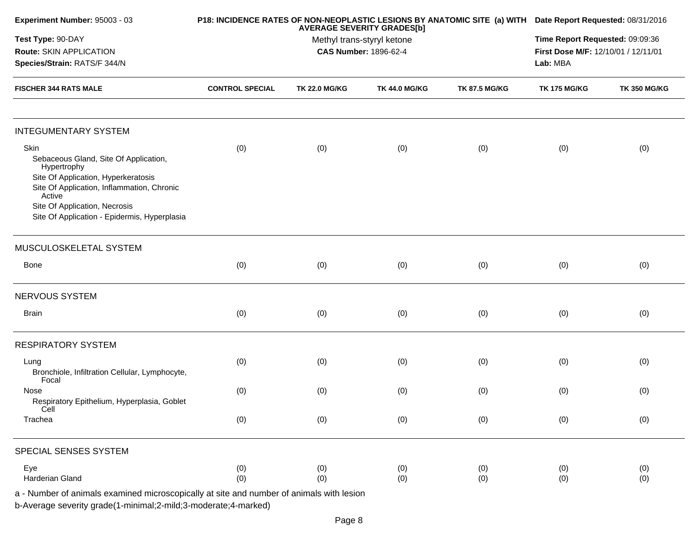| Experiment Number: 95003 - 03                                                                                                                                                                                                                |                        |                                                                                          | P18: INCIDENCE RATES OF NON-NEOPLASTIC LESIONS BY ANATOMIC SITE (a) WITH Date Report Requested: 08/31/2016 |                      |                     |                     |  |
|----------------------------------------------------------------------------------------------------------------------------------------------------------------------------------------------------------------------------------------------|------------------------|------------------------------------------------------------------------------------------|------------------------------------------------------------------------------------------------------------|----------------------|---------------------|---------------------|--|
| Test Type: 90-DAY<br>Route: SKIN APPLICATION<br>Species/Strain: RATS/F 344/N                                                                                                                                                                 |                        | <b>AVERAGE SEVERITY GRADES[b]</b><br>Methyl trans-styryl ketone<br>CAS Number: 1896-62-4 |                                                                                                            |                      |                     |                     |  |
| <b>FISCHER 344 RATS MALE</b>                                                                                                                                                                                                                 | <b>CONTROL SPECIAL</b> | <b>TK 22.0 MG/KG</b>                                                                     | <b>TK 44.0 MG/KG</b>                                                                                       | <b>TK 87.5 MG/KG</b> | <b>TK 175 MG/KG</b> | <b>TK 350 MG/KG</b> |  |
| <b>INTEGUMENTARY SYSTEM</b>                                                                                                                                                                                                                  |                        |                                                                                          |                                                                                                            |                      |                     |                     |  |
| Skin<br>Sebaceous Gland, Site Of Application,<br>Hypertrophy<br>Site Of Application, Hyperkeratosis<br>Site Of Application, Inflammation, Chronic<br>Active<br>Site Of Application, Necrosis<br>Site Of Application - Epidermis, Hyperplasia | (0)                    | (0)                                                                                      | (0)                                                                                                        | (0)                  | (0)                 | (0)                 |  |
| MUSCULOSKELETAL SYSTEM                                                                                                                                                                                                                       |                        |                                                                                          |                                                                                                            |                      |                     |                     |  |
| Bone                                                                                                                                                                                                                                         | (0)                    | (0)                                                                                      | (0)                                                                                                        | (0)                  | (0)                 | (0)                 |  |
| NERVOUS SYSTEM                                                                                                                                                                                                                               |                        |                                                                                          |                                                                                                            |                      |                     |                     |  |
| <b>Brain</b>                                                                                                                                                                                                                                 | (0)                    | (0)                                                                                      | (0)                                                                                                        | (0)                  | (0)                 | (0)                 |  |
| <b>RESPIRATORY SYSTEM</b>                                                                                                                                                                                                                    |                        |                                                                                          |                                                                                                            |                      |                     |                     |  |
| Lung<br>Bronchiole, Infiltration Cellular, Lymphocyte,<br>Focal                                                                                                                                                                              | (0)                    | (0)                                                                                      | (0)                                                                                                        | (0)                  | (0)                 | (0)                 |  |
| Nose<br>Respiratory Epithelium, Hyperplasia, Goblet<br>Cell                                                                                                                                                                                  | (0)                    | (0)                                                                                      | (0)                                                                                                        | (0)                  | (0)                 | (0)                 |  |
| Trachea                                                                                                                                                                                                                                      | (0)                    | (0)                                                                                      | (0)                                                                                                        | (0)                  | (0)                 | (0)                 |  |
| SPECIAL SENSES SYSTEM                                                                                                                                                                                                                        |                        |                                                                                          |                                                                                                            |                      |                     |                     |  |
| Eye<br>Harderian Gland                                                                                                                                                                                                                       | (0)<br>(0)             | (0)<br>(0)                                                                               | (0)<br>(0)                                                                                                 | (0)<br>(0)           | (0)<br>(0)          | (0)<br>(0)          |  |
| a - Number of animals examined microscopically at site and number of animals with lesion<br>b-Average severity grade(1-minimal;2-mild;3-moderate;4-marked)                                                                                   |                        |                                                                                          |                                                                                                            |                      |                     |                     |  |

Page 8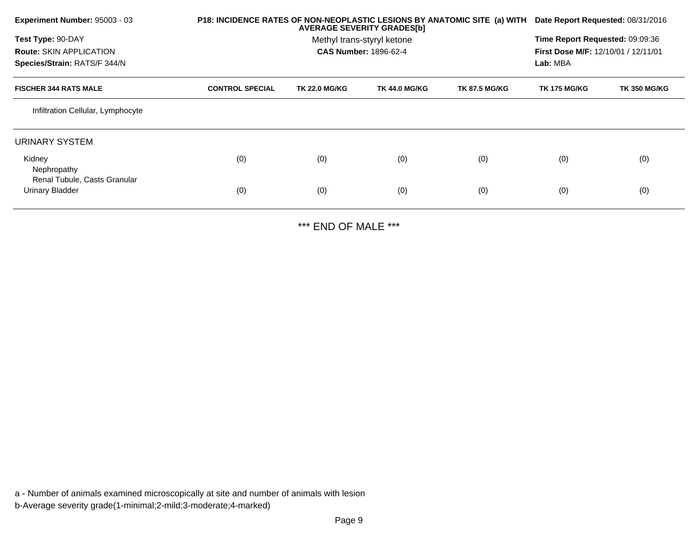| Experiment Number: 95003 - 03                   | P18: INCIDENCE RATES OF NON-NEOPLASTIC LESIONS BY ANATOMIC SITE (a) WITH |                      | <b>AVERAGE SEVERITY GRADES[b]</b> |                      | Date Report Requested: 08/31/2016   |                     |
|-------------------------------------------------|--------------------------------------------------------------------------|----------------------|-----------------------------------|----------------------|-------------------------------------|---------------------|
| Test Type: 90-DAY                               |                                                                          |                      | Methyl trans-styryl ketone        |                      | Time Report Requested: 09:09:36     |                     |
| <b>Route: SKIN APPLICATION</b>                  |                                                                          |                      | <b>CAS Number: 1896-62-4</b>      |                      | First Dose M/F: 12/10/01 / 12/11/01 |                     |
| Species/Strain: RATS/F 344/N                    |                                                                          |                      |                                   |                      | Lab: MBA                            |                     |
| <b>FISCHER 344 RATS MALE</b>                    | <b>CONTROL SPECIAL</b>                                                   | <b>TK 22.0 MG/KG</b> | <b>TK 44.0 MG/KG</b>              | <b>TK 87.5 MG/KG</b> | <b>TK 175 MG/KG</b>                 | <b>TK 350 MG/KG</b> |
| Infiltration Cellular, Lymphocyte               |                                                                          |                      |                                   |                      |                                     |                     |
| URINARY SYSTEM                                  |                                                                          |                      |                                   |                      |                                     |                     |
| Kidney                                          | (0)                                                                      | (0)                  | (0)                               | (0)                  | (0)                                 | (0)                 |
| Nephropathy                                     |                                                                          |                      |                                   |                      |                                     |                     |
| Renal Tubule, Casts Granular<br>Urinary Bladder | (0)                                                                      | (0)                  | (0)                               | (0)                  | (0)                                 | (0)                 |
|                                                 |                                                                          |                      |                                   |                      |                                     |                     |

\*\*\* END OF MALE \*\*\*

a - Number of animals examined microscopically at site and number of animals with lesionb-Average severity grade(1-minimal;2-mild;3-moderate;4-marked)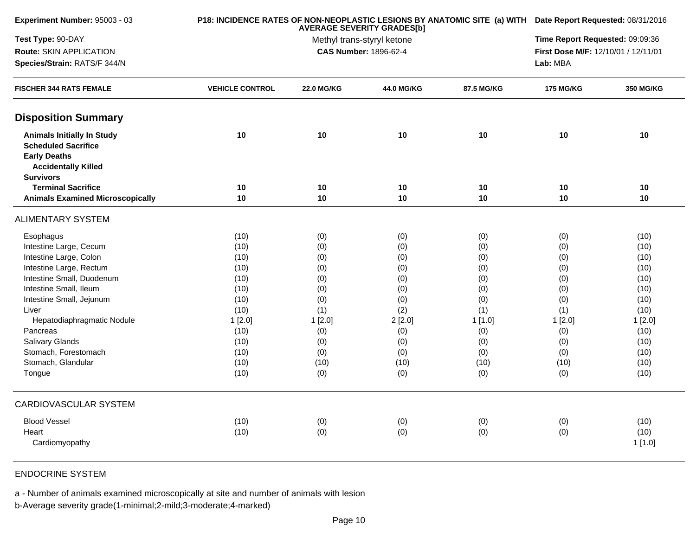| Experiment Number: 95003 - 03                                                                                                            |                        | P18: INCIDENCE RATES OF NON-NEOPLASTIC LESIONS BY ANATOMIC SITE (a) WITH Date Report Requested: 08/31/2016 |            |            |                  |                  |  |
|------------------------------------------------------------------------------------------------------------------------------------------|------------------------|------------------------------------------------------------------------------------------------------------|------------|------------|------------------|------------------|--|
| Test Type: 90-DAY                                                                                                                        |                        | Time Report Requested: 09:09:36                                                                            |            |            |                  |                  |  |
| Route: SKIN APPLICATION                                                                                                                  |                        | <b>CAS Number: 1896-62-4</b>                                                                               |            |            |                  |                  |  |
| Species/Strain: RATS/F 344/N<br><b>FISCHER 344 RATS FEMALE</b>                                                                           |                        |                                                                                                            |            |            |                  |                  |  |
|                                                                                                                                          | <b>VEHICLE CONTROL</b> | <b>22.0 MG/KG</b>                                                                                          | 44.0 MG/KG | 87.5 MG/KG | <b>175 MG/KG</b> | <b>350 MG/KG</b> |  |
| <b>Disposition Summary</b>                                                                                                               |                        |                                                                                                            |            |            |                  |                  |  |
| <b>Animals Initially In Study</b><br><b>Scheduled Sacrifice</b><br><b>Early Deaths</b><br><b>Accidentally Killed</b><br><b>Survivors</b> | 10                     | 10                                                                                                         | 10         | 10         | 10               | 10               |  |
| <b>Terminal Sacrifice</b>                                                                                                                | 10                     | 10                                                                                                         | 10         | 10         | 10               | 10               |  |
| <b>Animals Examined Microscopically</b>                                                                                                  | 10                     | 10                                                                                                         | 10         | 10         | 10               | 10               |  |
| <b>ALIMENTARY SYSTEM</b>                                                                                                                 |                        |                                                                                                            |            |            |                  |                  |  |
| Esophagus                                                                                                                                | (10)                   | (0)                                                                                                        | (0)        | (0)        | (0)              | (10)             |  |
| Intestine Large, Cecum                                                                                                                   | (10)                   | (0)                                                                                                        | (0)        | (0)        | (0)              | (10)             |  |
| Intestine Large, Colon                                                                                                                   | (10)                   | (0)                                                                                                        | (0)        | (0)        | (0)              | (10)             |  |
| Intestine Large, Rectum                                                                                                                  | (10)                   | (0)                                                                                                        | (0)        | (0)        | (0)              | (10)             |  |
| Intestine Small, Duodenum                                                                                                                | (10)                   | (0)                                                                                                        | (0)        | (0)        | (0)              | (10)             |  |
| Intestine Small, Ileum                                                                                                                   | (10)                   | (0)                                                                                                        | (0)        | (0)        | (0)              | (10)             |  |
| Intestine Small, Jejunum                                                                                                                 | (10)                   | (0)                                                                                                        | (0)        | (0)        | (0)              | (10)             |  |
| Liver                                                                                                                                    | (10)                   | (1)                                                                                                        | (2)        | (1)        | (1)              | (10)             |  |
| Hepatodiaphragmatic Nodule                                                                                                               | 1[2.0]                 | 1[2.0]                                                                                                     | 2[2.0]     | 1[1.0]     | 1[2.0]           | 1[2.0]           |  |
| Pancreas                                                                                                                                 | (10)                   | (0)                                                                                                        | (0)        | (0)        | (0)              | (10)             |  |
| <b>Salivary Glands</b>                                                                                                                   | (10)                   | (0)                                                                                                        | (0)        | (0)        | (0)              | (10)             |  |
| Stomach, Forestomach                                                                                                                     | (10)                   | (0)                                                                                                        | (0)        | (0)        | (0)              | (10)             |  |
| Stomach, Glandular                                                                                                                       | (10)                   | (10)                                                                                                       | (10)       | (10)       | (10)             | (10)             |  |
| Tongue                                                                                                                                   | (10)                   | (0)                                                                                                        | (0)        | (0)        | (0)              | (10)             |  |
| <b>CARDIOVASCULAR SYSTEM</b>                                                                                                             |                        |                                                                                                            |            |            |                  |                  |  |
| <b>Blood Vessel</b>                                                                                                                      | (10)                   | (0)                                                                                                        | (0)        | (0)        | (0)              | (10)             |  |
| Heart                                                                                                                                    | (10)                   | (0)                                                                                                        | (0)        | (0)        | (0)              | (10)             |  |
| Cardiomyopathy                                                                                                                           |                        |                                                                                                            |            |            |                  | 1[1.0]           |  |

## ENDOCRINE SYSTEM

a - Number of animals examined microscopically at site and number of animals with lesion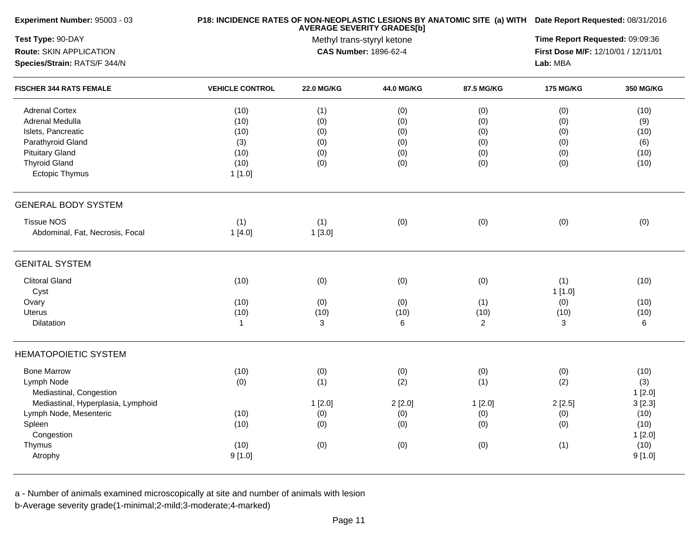| Experiment Number: 95003 - 03      |                        |                                                                                                 | P18: INCIDENCE RATES OF NON-NEOPLASTIC LESIONS BY ANATOMIC SITE (a) WITH Date Report Requested: 08/31/2016 |                |                  |           |  |
|------------------------------------|------------------------|-------------------------------------------------------------------------------------------------|------------------------------------------------------------------------------------------------------------|----------------|------------------|-----------|--|
| Test Type: 90-DAY                  |                        | <b>AVERAGE SEVERITY GRADES[b]</b><br>Methyl trans-styryl ketone<br><b>CAS Number: 1896-62-4</b> |                                                                                                            |                |                  |           |  |
| Route: SKIN APPLICATION            |                        |                                                                                                 |                                                                                                            |                |                  |           |  |
| Species/Strain: RATS/F 344/N       |                        |                                                                                                 |                                                                                                            |                |                  |           |  |
| <b>FISCHER 344 RATS FEMALE</b>     | <b>VEHICLE CONTROL</b> | <b>22.0 MG/KG</b>                                                                               | 44.0 MG/KG                                                                                                 | 87.5 MG/KG     | <b>175 MG/KG</b> | 350 MG/KG |  |
| <b>Adrenal Cortex</b>              | (10)                   | (1)                                                                                             | (0)                                                                                                        | (0)            | (0)              | (10)      |  |
| Adrenal Medulla                    | (10)                   | (0)                                                                                             | (0)                                                                                                        | (0)            | (0)              | (9)       |  |
| Islets, Pancreatic                 | (10)                   | (0)                                                                                             | (0)                                                                                                        | (0)            | (0)              | (10)      |  |
| Parathyroid Gland                  | (3)                    | (0)                                                                                             | (0)                                                                                                        | (0)            | (0)              | (6)       |  |
| <b>Pituitary Gland</b>             | (10)                   | (0)                                                                                             | (0)                                                                                                        | (0)            | (0)              | (10)      |  |
| <b>Thyroid Gland</b>               | (10)                   | (0)                                                                                             | (0)                                                                                                        | (0)            | (0)              | (10)      |  |
| Ectopic Thymus                     | 1[1.0]                 |                                                                                                 |                                                                                                            |                |                  |           |  |
| <b>GENERAL BODY SYSTEM</b>         |                        |                                                                                                 |                                                                                                            |                |                  |           |  |
| <b>Tissue NOS</b>                  | (1)                    | (1)                                                                                             | (0)                                                                                                        | (0)            | (0)              | (0)       |  |
| Abdominal, Fat, Necrosis, Focal    | 1[4.0]                 | 1[3.0]                                                                                          |                                                                                                            |                |                  |           |  |
| <b>GENITAL SYSTEM</b>              |                        |                                                                                                 |                                                                                                            |                |                  |           |  |
| <b>Clitoral Gland</b>              | (10)                   | (0)                                                                                             | (0)                                                                                                        | (0)            | (1)              | (10)      |  |
| Cyst                               |                        |                                                                                                 |                                                                                                            |                | 1[1.0]           |           |  |
| Ovary                              | (10)                   | (0)                                                                                             | (0)                                                                                                        | (1)            | (0)              | (10)      |  |
| Uterus                             | (10)                   | (10)                                                                                            | (10)                                                                                                       | (10)           | (10)             | (10)      |  |
| Dilatation                         | $\mathbf{1}$           | 3                                                                                               | 6                                                                                                          | $\overline{2}$ | 3                | 6         |  |
| <b>HEMATOPOIETIC SYSTEM</b>        |                        |                                                                                                 |                                                                                                            |                |                  |           |  |
| <b>Bone Marrow</b>                 | (10)                   | (0)                                                                                             | (0)                                                                                                        | (0)            | (0)              | (10)      |  |
| Lymph Node                         | (0)                    | (1)                                                                                             | (2)                                                                                                        | (1)            | (2)              | (3)       |  |
| Mediastinal, Congestion            |                        |                                                                                                 |                                                                                                            |                |                  | 1[2.0]    |  |
| Mediastinal, Hyperplasia, Lymphoid |                        | 1[2.0]                                                                                          | 2[2.0]                                                                                                     | 1[2.0]         | 2[2.5]           | 3[2.3]    |  |
| Lymph Node, Mesenteric             | (10)                   | (0)                                                                                             | (0)                                                                                                        | (0)            | (0)              | (10)      |  |
| Spleen                             | (10)                   | (0)                                                                                             | (0)                                                                                                        | (0)            | (0)              | (10)      |  |
| Congestion                         |                        |                                                                                                 |                                                                                                            |                |                  | 1[2.0]    |  |
| Thymus                             | (10)                   | (0)                                                                                             | (0)                                                                                                        | (0)            | (1)              | (10)      |  |
| Atrophy                            | 9[1.0]                 |                                                                                                 |                                                                                                            |                |                  | 9[1.0]    |  |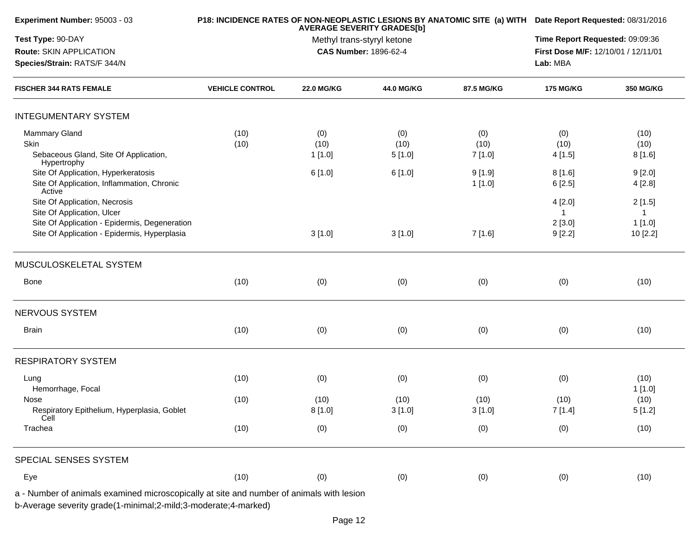| Experiment Number: 95003 - 03                                                            |                        | P18: INCIDENCE RATES OF NON-NEOPLASTIC LESIONS BY ANATOMIC SITE (a) WITH Date Report Requested: 08/31/2016 |                              |            |                                     |           |  |
|------------------------------------------------------------------------------------------|------------------------|------------------------------------------------------------------------------------------------------------|------------------------------|------------|-------------------------------------|-----------|--|
| Test Type: 90-DAY                                                                        |                        | Time Report Requested: 09:09:36                                                                            |                              |            |                                     |           |  |
| Route: SKIN APPLICATION                                                                  |                        |                                                                                                            | <b>CAS Number: 1896-62-4</b> |            | First Dose M/F: 12/10/01 / 12/11/01 |           |  |
| Species/Strain: RATS/F 344/N                                                             |                        |                                                                                                            | Lab: MBA                     |            |                                     |           |  |
| <b>FISCHER 344 RATS FEMALE</b>                                                           | <b>VEHICLE CONTROL</b> | <b>22.0 MG/KG</b>                                                                                          | 44.0 MG/KG                   | 87.5 MG/KG | <b>175 MG/KG</b>                    | 350 MG/KG |  |
| <b>INTEGUMENTARY SYSTEM</b>                                                              |                        |                                                                                                            |                              |            |                                     |           |  |
| <b>Mammary Gland</b>                                                                     | (10)                   | (0)                                                                                                        | (0)                          | (0)        | (0)                                 | (10)      |  |
| Skin                                                                                     | (10)                   | (10)                                                                                                       | (10)                         | (10)       | (10)                                | (10)      |  |
| Sebaceous Gland, Site Of Application,<br>Hypertrophy                                     |                        | 1 [1.0]                                                                                                    | 5[1.0]                       | 7 [1.0]    | 4[1.5]                              | 8[1.6]    |  |
| Site Of Application, Hyperkeratosis                                                      |                        | 6[1.0]                                                                                                     | 6[1.0]                       | 9[1.9]     | 8[1.6]                              | 9[2.0]    |  |
| Site Of Application, Inflammation, Chronic<br>Active                                     |                        |                                                                                                            |                              | 1[1.0]     | 6[2.5]                              | 4[2.8]    |  |
| Site Of Application, Necrosis                                                            |                        |                                                                                                            |                              |            | 4 [2.0]                             | 2[1.5]    |  |
| Site Of Application, Ulcer                                                               |                        |                                                                                                            |                              |            |                                     |           |  |
| Site Of Application - Epidermis, Degeneration                                            |                        |                                                                                                            |                              |            | 2[3.0]                              | 1[1.0]    |  |
| Site Of Application - Epidermis, Hyperplasia                                             |                        | 3[1.0]                                                                                                     | 3[1.0]                       | 7[1.6]     | 9[2.2]                              | 10 [2.2]  |  |
| MUSCULOSKELETAL SYSTEM                                                                   |                        |                                                                                                            |                              |            |                                     |           |  |
| Bone                                                                                     | (10)                   | (0)                                                                                                        | (0)                          | (0)        | (0)                                 | (10)      |  |
| NERVOUS SYSTEM                                                                           |                        |                                                                                                            |                              |            |                                     |           |  |
| Brain                                                                                    | (10)                   | (0)                                                                                                        | (0)                          | (0)        | (0)                                 | (10)      |  |
| <b>RESPIRATORY SYSTEM</b>                                                                |                        |                                                                                                            |                              |            |                                     |           |  |
| Lung                                                                                     | (10)                   | (0)                                                                                                        | (0)                          | (0)        | (0)                                 | (10)      |  |
| Hemorrhage, Focal                                                                        |                        |                                                                                                            |                              |            |                                     | 1[1.0]    |  |
| Nose                                                                                     | (10)                   | (10)                                                                                                       | (10)                         | (10)       | (10)                                | (10)      |  |
| Respiratory Epithelium, Hyperplasia, Goblet<br>Cell                                      |                        | 8[1.0]                                                                                                     | 3[1.0]                       | 3[1.0]     | 7[1.4]                              | 5[1.2]    |  |
| Trachea                                                                                  | (10)                   | (0)                                                                                                        | (0)                          | (0)        | (0)                                 | (10)      |  |
| SPECIAL SENSES SYSTEM                                                                    |                        |                                                                                                            |                              |            |                                     |           |  |
| Eye                                                                                      | (10)                   | (0)                                                                                                        | (0)                          | (0)        | (0)                                 | (10)      |  |
| a - Number of animals examined microscopically at site and number of animals with lesion |                        |                                                                                                            |                              |            |                                     |           |  |
| b-Average severity grade(1-minimal;2-mild;3-moderate;4-marked)                           |                        |                                                                                                            |                              |            |                                     |           |  |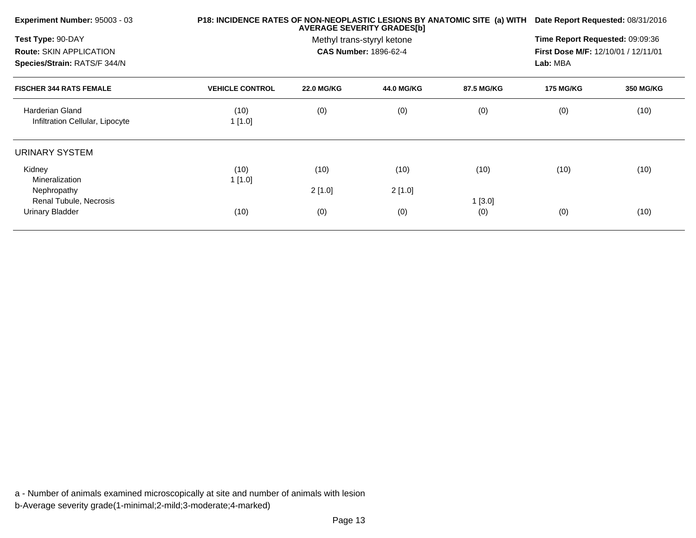| Experiment Number: 95003 - 03                                  |                        | P18: INCIDENCE RATES OF NON-NEOPLASTIC LESIONS BY ANATOMIC SITE (a) WITH Date Report Requested: 08/31/2016 |            |            |                  |                  |
|----------------------------------------------------------------|------------------------|------------------------------------------------------------------------------------------------------------|------------|------------|------------------|------------------|
| Test Type: 90-DAY                                              |                        | Time Report Requested: 09:09:36                                                                            |            |            |                  |                  |
| <b>Route: SKIN APPLICATION</b><br>Species/Strain: RATS/F 344/N |                        | First Dose M/F: 12/10/01 / 12/11/01<br>Lab: MBA                                                            |            |            |                  |                  |
| <b>FISCHER 344 RATS FEMALE</b>                                 | <b>VEHICLE CONTROL</b> | <b>22.0 MG/KG</b>                                                                                          | 44.0 MG/KG | 87.5 MG/KG | <b>175 MG/KG</b> | <b>350 MG/KG</b> |
| <b>Harderian Gland</b><br>Infiltration Cellular, Lipocyte      | (10)<br>1[1.0]         | (0)                                                                                                        | (0)        | (0)        | (0)              | (10)             |
| URINARY SYSTEM                                                 |                        |                                                                                                            |            |            |                  |                  |
| Kidney<br><b>Mineralization</b>                                | (10)<br>1[1.0]         | (10)                                                                                                       | (10)       | (10)       | (10)             | (10)             |
| Nephropathy<br>Renal Tubule, Necrosis                          |                        | 2[1.0]                                                                                                     | 2[1.0]     | 1[3.0]     |                  |                  |
| <b>Urinary Bladder</b>                                         | (10)                   | (0)                                                                                                        | (0)        | (0)        | (0)              | (10)             |
|                                                                |                        |                                                                                                            |            |            |                  |                  |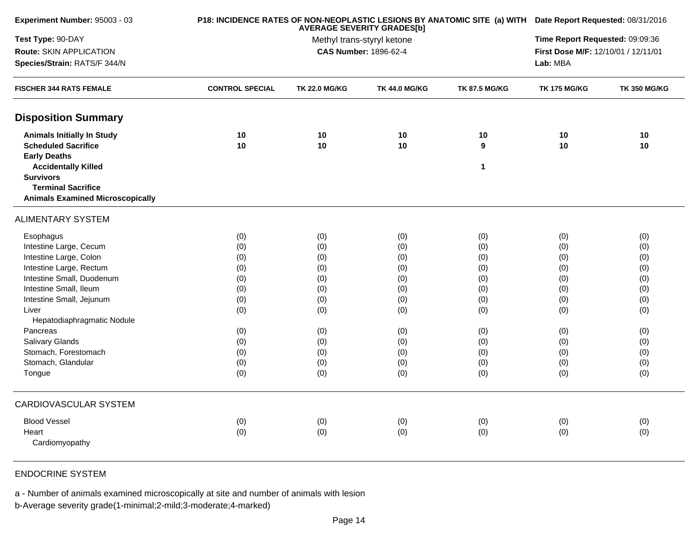| Experiment Number: 95003 - 03           |                        | P18: INCIDENCE RATES OF NON-NEOPLASTIC LESIONS BY ANATOMIC SITE (a) WITH Date Report Requested: 08/31/2016 |                                                            |                      |                                     |                     |  |
|-----------------------------------------|------------------------|------------------------------------------------------------------------------------------------------------|------------------------------------------------------------|----------------------|-------------------------------------|---------------------|--|
| Test Type: 90-DAY                       |                        | Time Report Requested: 09:09:36                                                                            |                                                            |                      |                                     |                     |  |
| <b>Route: SKIN APPLICATION</b>          |                        |                                                                                                            | Methyl trans-styryl ketone<br><b>CAS Number: 1896-62-4</b> |                      | First Dose M/F: 12/10/01 / 12/11/01 |                     |  |
| Species/Strain: RATS/F 344/N            |                        | Lab: MBA                                                                                                   |                                                            |                      |                                     |                     |  |
| <b>FISCHER 344 RATS FEMALE</b>          | <b>CONTROL SPECIAL</b> | <b>TK 22.0 MG/KG</b>                                                                                       | <b>TK 44.0 MG/KG</b>                                       | <b>TK 87.5 MG/KG</b> | <b>TK 175 MG/KG</b>                 | <b>TK 350 MG/KG</b> |  |
| <b>Disposition Summary</b>              |                        |                                                                                                            |                                                            |                      |                                     |                     |  |
| <b>Animals Initially In Study</b>       | 10                     | 10                                                                                                         | 10                                                         | 10                   | 10                                  | 10                  |  |
| <b>Scheduled Sacrifice</b>              | 10                     | 10                                                                                                         | 10                                                         | 9                    | 10                                  | 10                  |  |
| <b>Early Deaths</b>                     |                        |                                                                                                            |                                                            |                      |                                     |                     |  |
| <b>Accidentally Killed</b>              |                        |                                                                                                            |                                                            | 1                    |                                     |                     |  |
| <b>Survivors</b>                        |                        |                                                                                                            |                                                            |                      |                                     |                     |  |
| <b>Terminal Sacrifice</b>               |                        |                                                                                                            |                                                            |                      |                                     |                     |  |
| <b>Animals Examined Microscopically</b> |                        |                                                                                                            |                                                            |                      |                                     |                     |  |
| <b>ALIMENTARY SYSTEM</b>                |                        |                                                                                                            |                                                            |                      |                                     |                     |  |
| Esophagus                               | (0)                    | (0)                                                                                                        | (0)                                                        | (0)                  | (0)                                 | (0)                 |  |
| Intestine Large, Cecum                  | (0)                    | (0)                                                                                                        | (0)                                                        | (0)                  | (0)                                 | (0)                 |  |
| Intestine Large, Colon                  | (0)                    | (0)                                                                                                        | (0)                                                        | (0)                  | (0)                                 | (0)                 |  |
| Intestine Large, Rectum                 | (0)                    | (0)                                                                                                        | (0)                                                        | (0)                  | (0)                                 | (0)                 |  |
| Intestine Small, Duodenum               | (0)                    | (0)                                                                                                        | (0)                                                        | (0)                  | (0)                                 | (0)                 |  |
| Intestine Small, Ileum                  | (0)                    | (0)                                                                                                        | (0)                                                        | (0)                  | (0)                                 | (0)                 |  |
| Intestine Small, Jejunum                | (0)                    | (0)                                                                                                        | (0)                                                        | (0)                  | (0)                                 | (0)                 |  |
| Liver                                   | (0)                    | (0)                                                                                                        | (0)                                                        | (0)                  | (0)                                 | (0)                 |  |
| Hepatodiaphragmatic Nodule              |                        |                                                                                                            |                                                            |                      |                                     |                     |  |
| Pancreas                                | (0)                    | (0)                                                                                                        | (0)                                                        | (0)                  | (0)                                 | (0)                 |  |
| <b>Salivary Glands</b>                  | (0)                    | (0)                                                                                                        | (0)                                                        | (0)                  | (0)                                 | (0)                 |  |
| Stomach, Forestomach                    | (0)                    | (0)                                                                                                        | (0)                                                        | (0)                  | (0)                                 | (0)                 |  |
| Stomach, Glandular                      | (0)                    | (0)                                                                                                        | (0)                                                        | (0)                  | (0)                                 | (0)                 |  |
| Tongue                                  | (0)                    | (0)                                                                                                        | (0)                                                        | (0)                  | (0)                                 | (0)                 |  |
| <b>CARDIOVASCULAR SYSTEM</b>            |                        |                                                                                                            |                                                            |                      |                                     |                     |  |
| <b>Blood Vessel</b>                     | (0)                    | (0)                                                                                                        | (0)                                                        | (0)                  | (0)                                 | (0)                 |  |
| Heart                                   | (0)                    | (0)                                                                                                        | (0)                                                        | (0)                  | (0)                                 | (0)                 |  |
| Cardiomyopathy                          |                        |                                                                                                            |                                                            |                      |                                     |                     |  |

## ENDOCRINE SYSTEM

a - Number of animals examined microscopically at site and number of animals with lesion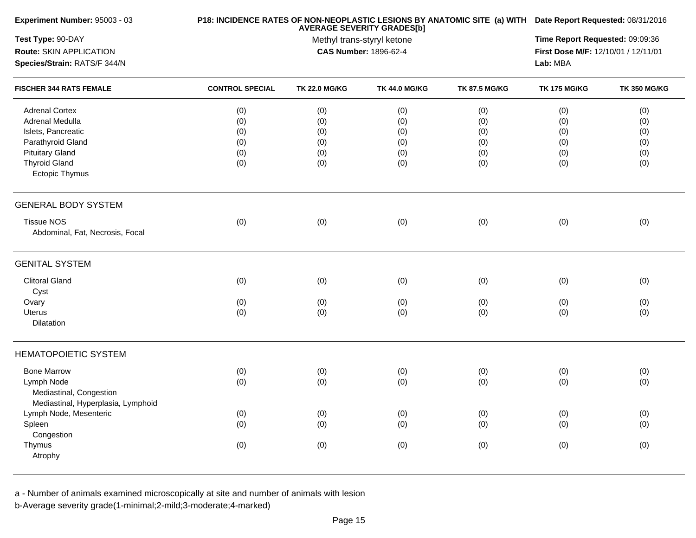| Experiment Number: 95003 - 03      |                        | P18: INCIDENCE RATES OF NON-NEOPLASTIC LESIONS BY ANATOMIC SITE (a) WITH Date Report Requested: 08/31/2016 |                              |                      |                                                 |                     |
|------------------------------------|------------------------|------------------------------------------------------------------------------------------------------------|------------------------------|----------------------|-------------------------------------------------|---------------------|
| Test Type: 90-DAY                  |                        | Time Report Requested: 09:09:36                                                                            |                              |                      |                                                 |                     |
| Route: SKIN APPLICATION            |                        |                                                                                                            | <b>CAS Number: 1896-62-4</b> |                      | First Dose M/F: 12/10/01 / 12/11/01<br>Lab: MBA |                     |
| Species/Strain: RATS/F 344/N       |                        |                                                                                                            |                              |                      |                                                 |                     |
| <b>FISCHER 344 RATS FEMALE</b>     | <b>CONTROL SPECIAL</b> | <b>TK 22.0 MG/KG</b>                                                                                       | <b>TK 44.0 MG/KG</b>         | <b>TK 87.5 MG/KG</b> | <b>TK 175 MG/KG</b>                             | <b>TK 350 MG/KG</b> |
| <b>Adrenal Cortex</b>              | (0)                    | (0)                                                                                                        | (0)                          | (0)                  | (0)                                             | (0)                 |
| Adrenal Medulla                    | (0)                    | (0)                                                                                                        | (0)                          | (0)                  | (0)                                             | (0)                 |
| Islets, Pancreatic                 | (0)                    | (0)                                                                                                        | (0)                          | (0)                  | (0)                                             | (0)                 |
| Parathyroid Gland                  | (0)                    | (0)                                                                                                        | (0)                          | (0)                  | (0)                                             | (0)                 |
| <b>Pituitary Gland</b>             | (0)                    | (0)                                                                                                        | (0)                          | (0)                  | (0)                                             | (0)                 |
| <b>Thyroid Gland</b>               | (0)                    | (0)                                                                                                        | (0)                          | (0)                  | (0)                                             | (0)                 |
| <b>Ectopic Thymus</b>              |                        |                                                                                                            |                              |                      |                                                 |                     |
| <b>GENERAL BODY SYSTEM</b>         |                        |                                                                                                            |                              |                      |                                                 |                     |
| <b>Tissue NOS</b>                  | (0)                    | (0)                                                                                                        | (0)                          | (0)                  | (0)                                             | (0)                 |
| Abdominal, Fat, Necrosis, Focal    |                        |                                                                                                            |                              |                      |                                                 |                     |
| <b>GENITAL SYSTEM</b>              |                        |                                                                                                            |                              |                      |                                                 |                     |
| <b>Clitoral Gland</b>              | (0)                    | (0)                                                                                                        | (0)                          | (0)                  | (0)                                             | (0)                 |
| Cyst                               |                        |                                                                                                            |                              |                      |                                                 |                     |
| Ovary                              | (0)                    | (0)                                                                                                        | (0)                          | (0)                  | (0)                                             | (0)                 |
| <b>Uterus</b>                      | (0)                    | (0)                                                                                                        | (0)                          | (0)                  | (0)                                             | (0)                 |
| Dilatation                         |                        |                                                                                                            |                              |                      |                                                 |                     |
| <b>HEMATOPOIETIC SYSTEM</b>        |                        |                                                                                                            |                              |                      |                                                 |                     |
| <b>Bone Marrow</b>                 | (0)                    | (0)                                                                                                        | (0)                          | (0)                  | (0)                                             | (0)                 |
| Lymph Node                         | (0)                    | (0)                                                                                                        | (0)                          | (0)                  | (0)                                             | (0)                 |
| Mediastinal, Congestion            |                        |                                                                                                            |                              |                      |                                                 |                     |
| Mediastinal, Hyperplasia, Lymphoid |                        |                                                                                                            |                              |                      |                                                 |                     |
| Lymph Node, Mesenteric             | (0)                    | (0)                                                                                                        | (0)                          | (0)                  | (0)                                             | (0)                 |
| Spleen                             | (0)                    | (0)                                                                                                        | (0)                          | (0)                  | (0)                                             | (0)                 |
| Congestion                         |                        |                                                                                                            |                              |                      |                                                 |                     |
| Thymus                             | (0)                    | (0)                                                                                                        | (0)                          | (0)                  | (0)                                             | (0)                 |
| Atrophy                            |                        |                                                                                                            |                              |                      |                                                 |                     |
|                                    |                        |                                                                                                            |                              |                      |                                                 |                     |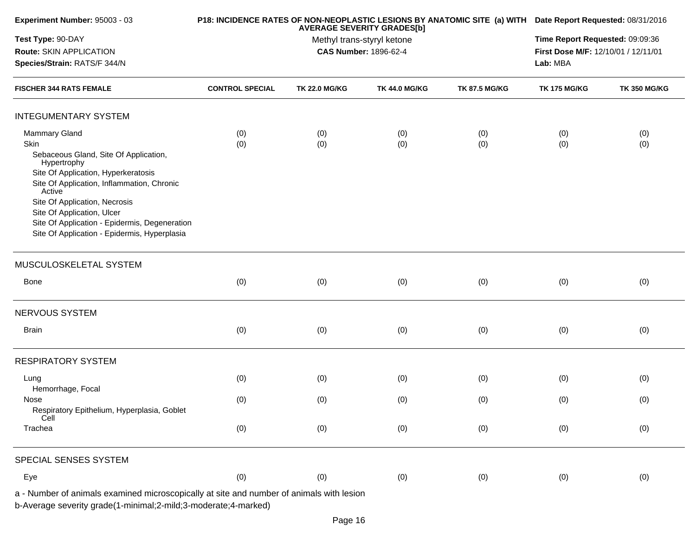| Experiment Number: 95003 - 03                                                                                                                              |                        | P18: INCIDENCE RATES OF NON-NEOPLASTIC LESIONS BY ANATOMIC SITE (a) WITH Date Report Requested: 08/31/2016<br>Time Report Requested: 09:09:36<br>First Dose M/F: 12/10/01 / 12/11/01 |                      |                      |                     |                     |
|------------------------------------------------------------------------------------------------------------------------------------------------------------|------------------------|--------------------------------------------------------------------------------------------------------------------------------------------------------------------------------------|----------------------|----------------------|---------------------|---------------------|
| Test Type: 90-DAY<br>Route: SKIN APPLICATION                                                                                                               |                        |                                                                                                                                                                                      |                      |                      |                     |                     |
| Species/Strain: RATS/F 344/N                                                                                                                               |                        |                                                                                                                                                                                      |                      | Lab: MBA             |                     |                     |
| <b>FISCHER 344 RATS FEMALE</b>                                                                                                                             | <b>CONTROL SPECIAL</b> | <b>TK 22.0 MG/KG</b>                                                                                                                                                                 | <b>TK 44.0 MG/KG</b> | <b>TK 87.5 MG/KG</b> | <b>TK 175 MG/KG</b> | <b>TK 350 MG/KG</b> |
| <b>INTEGUMENTARY SYSTEM</b>                                                                                                                                |                        |                                                                                                                                                                                      |                      |                      |                     |                     |
| <b>Mammary Gland</b>                                                                                                                                       | (0)                    | (0)                                                                                                                                                                                  | (0)                  | (0)                  | (0)                 | (0)                 |
| Skin<br>Sebaceous Gland, Site Of Application,<br>Hypertrophy                                                                                               | (0)                    | (0)                                                                                                                                                                                  | (0)                  | (0)                  | (0)                 | (0)                 |
| Site Of Application, Hyperkeratosis<br>Site Of Application, Inflammation, Chronic<br>Active                                                                |                        |                                                                                                                                                                                      |                      |                      |                     |                     |
| Site Of Application, Necrosis<br>Site Of Application, Ulcer                                                                                                |                        |                                                                                                                                                                                      |                      |                      |                     |                     |
| Site Of Application - Epidermis, Degeneration<br>Site Of Application - Epidermis, Hyperplasia                                                              |                        |                                                                                                                                                                                      |                      |                      |                     |                     |
| MUSCULOSKELETAL SYSTEM                                                                                                                                     |                        |                                                                                                                                                                                      |                      |                      |                     |                     |
| Bone                                                                                                                                                       | (0)                    | (0)                                                                                                                                                                                  | (0)                  | (0)                  | (0)                 | (0)                 |
| NERVOUS SYSTEM                                                                                                                                             |                        |                                                                                                                                                                                      |                      |                      |                     |                     |
| <b>Brain</b>                                                                                                                                               | (0)                    | (0)                                                                                                                                                                                  | (0)                  | (0)                  | (0)                 | (0)                 |
| <b>RESPIRATORY SYSTEM</b>                                                                                                                                  |                        |                                                                                                                                                                                      |                      |                      |                     |                     |
| Lung<br>Hemorrhage, Focal                                                                                                                                  | (0)                    | (0)                                                                                                                                                                                  | (0)                  | (0)                  | (0)                 | (0)                 |
| Nose<br>Respiratory Epithelium, Hyperplasia, Goblet<br>Cell                                                                                                | (0)                    | (0)                                                                                                                                                                                  | (0)                  | (0)                  | (0)                 | (0)                 |
| Trachea                                                                                                                                                    | (0)                    | (0)                                                                                                                                                                                  | (0)                  | (0)                  | (0)                 | (0)                 |
| SPECIAL SENSES SYSTEM                                                                                                                                      |                        |                                                                                                                                                                                      |                      |                      |                     |                     |
| Eye                                                                                                                                                        | (0)                    | (0)                                                                                                                                                                                  | (0)                  | (0)                  | (0)                 | (0)                 |
| a - Number of animals examined microscopically at site and number of animals with lesion<br>b-Average severity grade(1-minimal;2-mild;3-moderate;4-marked) |                        |                                                                                                                                                                                      |                      |                      |                     |                     |